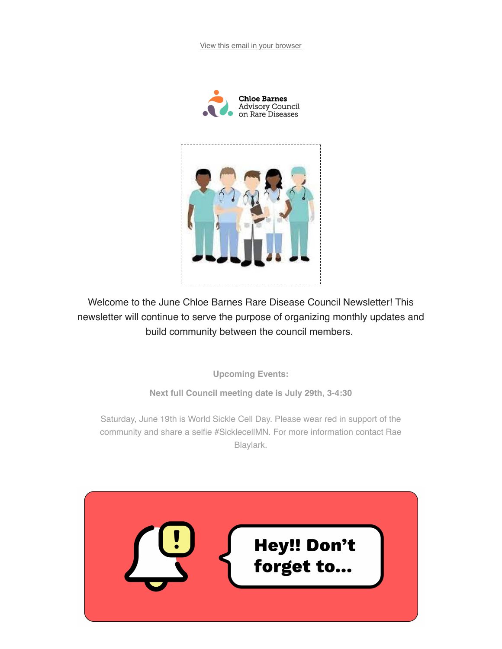View this email in your browser





Welcome to the June Chloe Barnes Rare Disease Council Newsletter! This newsletter will continue to serve the purpose of organizing monthly updates and build community between the council members.

**Upcoming Events:** 

Next full Council meeting date is July 29th, 3-4:30

Saturday, June 19th is World Sickle Cell Day. Please wear red in support of the community and share a selfie #SicklecellMN. For more information contact Rae Blaylark.

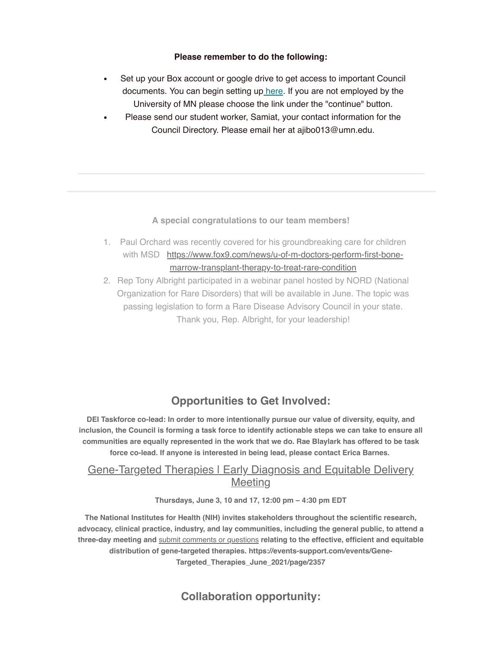#### Please remember to do the following:

- Set up your Box account or google drive to get access to important Council documents. You can begin setting up here. If you are not employed by the University of MN please choose the link under the "continue" button.
- Please send our student worker, Samiat, your contact information for the Council Directory. Please email her at ajibo013@umn.edu.

#### A special congratulations to our team members!

- 1. Paul Orchard was recently covered for his groundbreaking care for children with MSD https://www.fox9.com/news/u-of-m-doctors-perform-first-bonemarrow-transplant-therapy-to-treat-rare-condition
- 2. Rep Tony Albright participated in a webinar panel hosted by NORD (National Organization for Rare Disorders) that will be available in June. The topic was passing legislation to form a Rare Disease Advisory Council in your state. Thank you, Rep. Albright, for your leadership!

## **Opportunities to Get Involved:**

DEI Taskforce co-lead: In order to more intentionally pursue our value of diversity, equity, and inclusion, the Council is forming a task force to identify actionable steps we can take to ensure all communities are equally represented in the work that we do. Rae Blaylark has offered to be task force co-lead. If anyone is interested in being lead, please contact Erica Barnes.

### **Gene-Targeted Therapies I Early Diagnosis and Equitable Delivery Meeting**

#### Thursdays, June 3, 10 and 17, 12:00 pm - 4:30 pm EDT

The National Institutes for Health (NIH) invites stakeholders throughout the scientific research, advocacy, clinical practice, industry, and lay communities, including the general public, to attend a three-day meeting and submit comments or questions relating to the effective, efficient and equitable distribution of gene-targeted therapies. https://events-support.com/events/Gene-Targeted\_Therapies\_June\_2021/page/2357

**Collaboration opportunity:**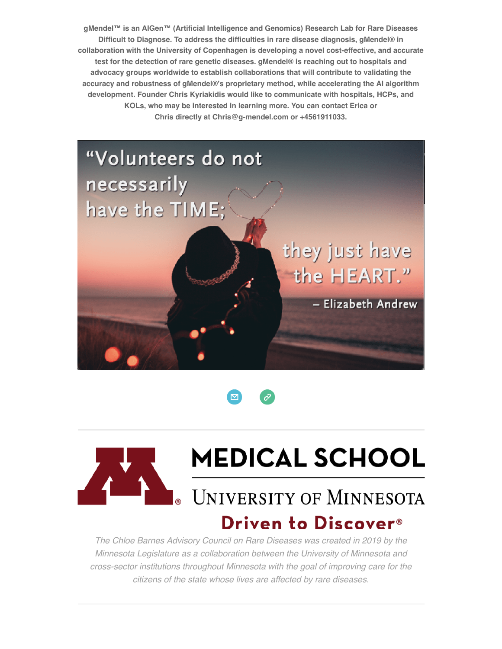gMendel™ is an AlGen™ (Artificial Intelligence and Genomics) Research Lab for Rare Diseases Difficult to Diagnose. To address the difficulties in rare disease diagnosis, gMendel® in collaboration with the University of Copenhagen is developing a novel cost-effective, and accurate test for the detection of rare genetic diseases. gMendel® is reaching out to hospitals and advocacy groups worldwide to establish collaborations that will contribute to validating the accuracy and robustness of gMendel®'s proprietary method, while accelerating the AI algorithm development. Founder Chris Kyriakidis would like to communicate with hospitals, HCPs, and KOLs, who may be interested in learning more. You can contact Erica or Chris directly at Chris@q-mendel.com or +4561911033.







# **MEDICAL SCHOOL**

# **UNIVERSITY OF MINNESOTA** Driven to Discover<sup>®</sup>

The Chloe Barnes Advisory Council on Rare Diseases was created in 2019 by the Minnesota Legislature as a collaboration between the University of Minnesota and cross-sector institutions throughout Minnesota with the goal of improving care for the citizens of the state whose lives are affected by rare diseases.